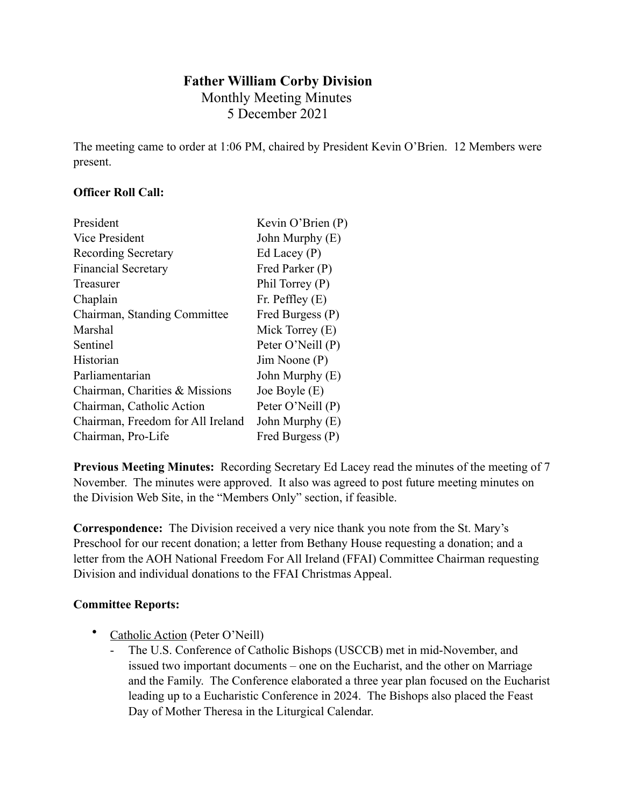# **Father William Corby Division** Monthly Meeting Minutes 5 December 2021

The meeting came to order at 1:06 PM, chaired by President Kevin O'Brien. 12 Members were present.

## **Officer Roll Call:**

| President                         | Kevin O'Brien (P) |
|-----------------------------------|-------------------|
| Vice President                    | John Murphy (E)   |
| <b>Recording Secretary</b>        | Ed Lacey $(P)$    |
| <b>Financial Secretary</b>        | Fred Parker (P)   |
| Treasurer                         | Phil Torrey (P)   |
| Chaplain                          | Fr. Peffley $(E)$ |
| Chairman, Standing Committee      | Fred Burgess (P)  |
| Marshal                           | Mick Torrey (E)   |
| Sentinel                          | Peter O'Neill (P) |
| Historian                         | Jim Noone (P)     |
| Parliamentarian                   | John Murphy (E)   |
| Chairman, Charities & Missions    | Joe Boyle $(E)$   |
| Chairman, Catholic Action         | Peter O'Neill (P) |
| Chairman, Freedom for All Ireland | John Murphy (E)   |
| Chairman, Pro-Life                | Fred Burgess (P)  |

**Previous Meeting Minutes:** Recording Secretary Ed Lacey read the minutes of the meeting of 7 November. The minutes were approved. It also was agreed to post future meeting minutes on the Division Web Site, in the "Members Only" section, if feasible.

**Correspondence:** The Division received a very nice thank you note from the St. Mary's Preschool for our recent donation; a letter from Bethany House requesting a donation; and a letter from the AOH National Freedom For All Ireland (FFAI) Committee Chairman requesting Division and individual donations to the FFAI Christmas Appeal.

## **Committee Reports:**

- Catholic Action (Peter O'Neill)
	- The U.S. Conference of Catholic Bishops (USCCB) met in mid-November, and issued two important documents – one on the Eucharist, and the other on Marriage and the Family. The Conference elaborated a three year plan focused on the Eucharist leading up to a Eucharistic Conference in 2024. The Bishops also placed the Feast Day of Mother Theresa in the Liturgical Calendar.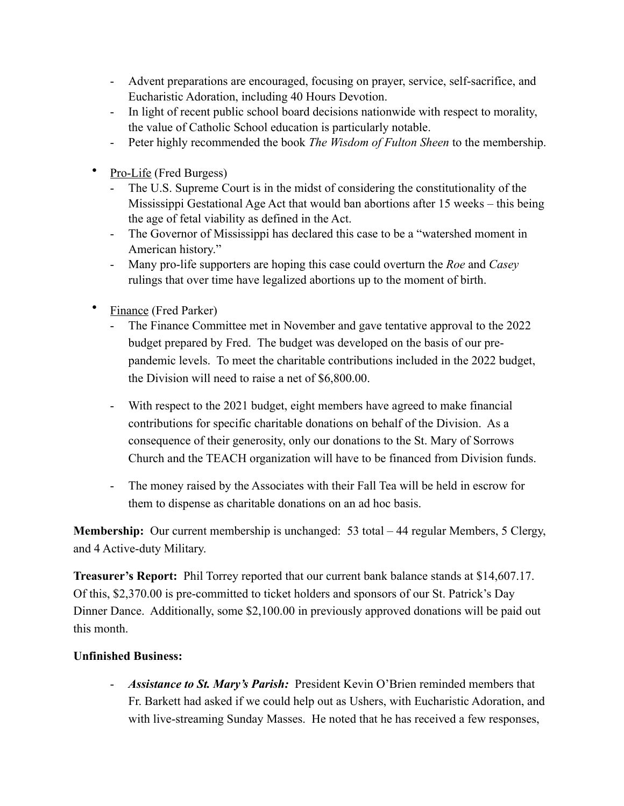- Advent preparations are encouraged, focusing on prayer, service, self-sacrifice, and Eucharistic Adoration, including 40 Hours Devotion.
- In light of recent public school board decisions nationwide with respect to morality, the value of Catholic School education is particularly notable.
- Peter highly recommended the book *The Wisdom of Fulton Sheen* to the membership.
- Pro-Life (Fred Burgess)
	- The U.S. Supreme Court is in the midst of considering the constitutionality of the Mississippi Gestational Age Act that would ban abortions after 15 weeks – this being the age of fetal viability as defined in the Act.
	- The Governor of Mississippi has declared this case to be a "watershed moment in American history."
	- Many pro-life supporters are hoping this case could overturn the *Roe* and *Casey*  rulings that over time have legalized abortions up to the moment of birth.
- Finance (Fred Parker)
	- The Finance Committee met in November and gave tentative approval to the 2022 budget prepared by Fred. The budget was developed on the basis of our prepandemic levels. To meet the charitable contributions included in the 2022 budget, the Division will need to raise a net of \$6,800.00.
	- With respect to the 2021 budget, eight members have agreed to make financial contributions for specific charitable donations on behalf of the Division. As a consequence of their generosity, only our donations to the St. Mary of Sorrows Church and the TEACH organization will have to be financed from Division funds.
	- The money raised by the Associates with their Fall Tea will be held in escrow for them to dispense as charitable donations on an ad hoc basis.

**Membership:** Our current membership is unchanged: 53 total – 44 regular Members, 5 Clergy, and 4 Active-duty Military.

**Treasurer's Report:** Phil Torrey reported that our current bank balance stands at \$14,607.17. Of this, \$2,370.00 is pre-committed to ticket holders and sponsors of our St. Patrick's Day Dinner Dance. Additionally, some \$2,100.00 in previously approved donations will be paid out this month.

## **Unfinished Business:**

- *Assistance to St. Mary's Parish:* President Kevin O'Brien reminded members that Fr. Barkett had asked if we could help out as Ushers, with Eucharistic Adoration, and with live-streaming Sunday Masses. He noted that he has received a few responses,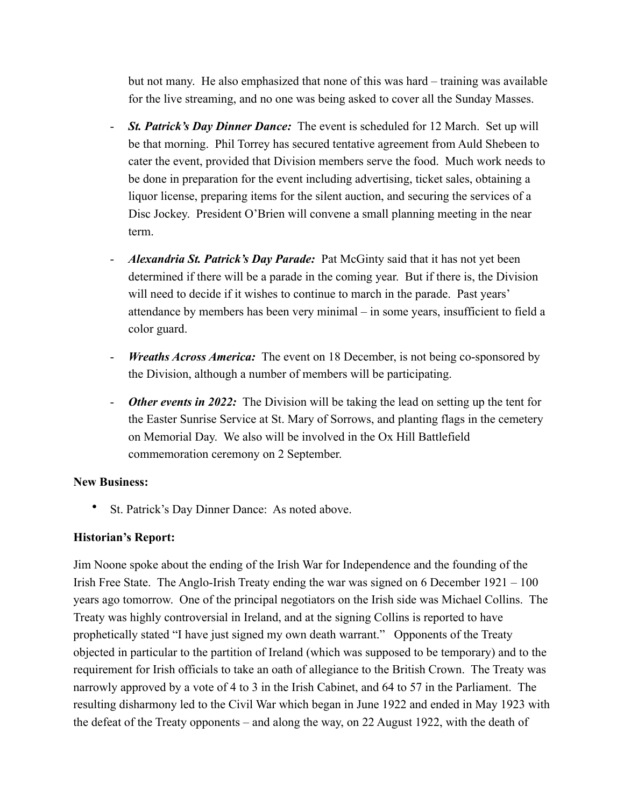but not many. He also emphasized that none of this was hard – training was available for the live streaming, and no one was being asked to cover all the Sunday Masses.

- *St. Patrick's Day Dinner Dance:* The event is scheduled for 12 March. Set up will be that morning. Phil Torrey has secured tentative agreement from Auld Shebeen to cater the event, provided that Division members serve the food. Much work needs to be done in preparation for the event including advertising, ticket sales, obtaining a liquor license, preparing items for the silent auction, and securing the services of a Disc Jockey. President O'Brien will convene a small planning meeting in the near term.
- *Alexandria St. Patrick's Day Parade:* Pat McGinty said that it has not yet been determined if there will be a parade in the coming year. But if there is, the Division will need to decide if it wishes to continue to march in the parade. Past years' attendance by members has been very minimal – in some years, insufficient to field a color guard.
- *Wreaths Across America:* The event on 18 December, is not being co-sponsored by the Division, although a number of members will be participating.
- *Other events in 2022:* The Division will be taking the lead on setting up the tent for the Easter Sunrise Service at St. Mary of Sorrows, and planting flags in the cemetery on Memorial Day. We also will be involved in the Ox Hill Battlefield commemoration ceremony on 2 September.

## **New Business:**

• St. Patrick's Day Dinner Dance: As noted above.

## **Historian's Report:**

Jim Noone spoke about the ending of the Irish War for Independence and the founding of the Irish Free State. The Anglo-Irish Treaty ending the war was signed on 6 December 1921 – 100 years ago tomorrow. One of the principal negotiators on the Irish side was Michael Collins. The Treaty was highly controversial in Ireland, and at the signing Collins is reported to have prophetically stated "I have just signed my own death warrant." Opponents of the Treaty objected in particular to the partition of Ireland (which was supposed to be temporary) and to the requirement for Irish officials to take an oath of allegiance to the British Crown. The Treaty was narrowly approved by a vote of 4 to 3 in the Irish Cabinet, and 64 to 57 in the Parliament. The resulting disharmony led to the Civil War which began in June 1922 and ended in May 1923 with the defeat of the Treaty opponents – and along the way, on 22 August 1922, with the death of